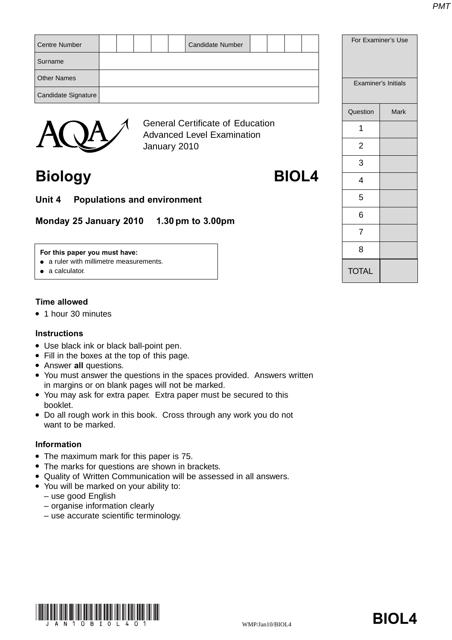| <b>Centre Number</b> |                                                                              |  | <b>Candidate Number</b> |  |  |  | For Examiner's Use  |      |
|----------------------|------------------------------------------------------------------------------|--|-------------------------|--|--|--|---------------------|------|
| Surname              |                                                                              |  |                         |  |  |  |                     |      |
| <b>Other Names</b>   |                                                                              |  |                         |  |  |  | Examiner's Initials |      |
| Candidate Signature  |                                                                              |  |                         |  |  |  |                     |      |
|                      |                                                                              |  |                         |  |  |  | Question            | Mark |
|                      | <b>General Certificate of Education</b><br><b>Advanced Level Examination</b> |  |                         |  |  |  |                     |      |
|                      | January 2010                                                                 |  |                         |  |  |  | 2                   |      |

# **Biology BIOL4**

**Unit 4 Populations and environment**

**Monday 25 January 2010 1.30 pm to 3.00pm**

#### **For this paper you must have:**

- a ruler with millimetre measurements.
- a calculator.

# **Time allowed**

● 1 hour 30 minutes

### **Instructions**

- Use black ink or black ball-point pen.
- Fill in the boxes at the top of this page.
- Answer **all** questions.
- You must answer the questions in the spaces provided. Answers written in margins or on blank pages will not be marked.
- You may ask for extra paper. Extra paper must be secured to this booklet.
- Do all rough work in this book. Cross through any work you do not want to be marked.

# **Information**

- The maximum mark for this paper is 75.
- The marks for questions are shown in brackets.
- Quality of Written Communication will be assessed in all answers.
- You will be marked on your ability to:
	- use good English
	- organise information clearly
	- use accurate scientific terminology.



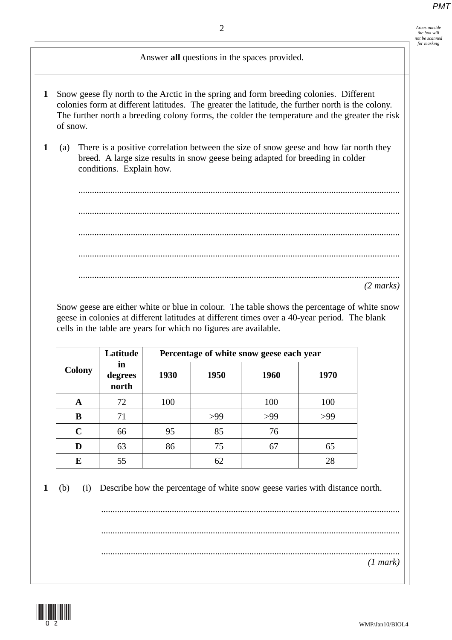*the box will not be scanned for marking*

# Answer **all** questions in the spaces provided.

- **1** Snow geese fly north to the Arctic in the spring and form breeding colonies. Different colonies form at different latitudes. The greater the latitude, the further north is the colony. The further north a breeding colony forms, the colder the temperature and the greater the risk of snow.
- **1** (a) There is a positive correlation between the size of snow geese and how far north they breed. A large size results in snow geese being adapted for breeding in colder conditions. Explain how.

............................................................................................................................................. ............................................................................................................................................. ............................................................................................................................................. ............................................................................................................................................. ............................................................................................................................................. *(2 marks)*

Snow geese are either white or blue in colour. The table shows the percentage of white snow geese in colonies at different latitudes at different times over a 40-year period. The blank cells in the table are years for which no figures are available.

|               | Latitude               | Percentage of white snow geese each year |      |      |      |  |  |
|---------------|------------------------|------------------------------------------|------|------|------|--|--|
| <b>Colony</b> | in<br>degrees<br>north | 1930                                     | 1950 | 1960 | 1970 |  |  |
| A             | 72                     | 100                                      |      | 100  | 100  |  |  |
| B             | 71                     |                                          | >99  | >99  | >99  |  |  |
| $\mathbf C$   | 66                     | 95                                       | 85   | 76   |      |  |  |
| D             | 63                     | 86                                       | 75   | 67   | 65   |  |  |
| E             | 55                     |                                          | 62   |      | 28   |  |  |

**1** (b) (i) Describe how the percentage of white snow geese varies with distance north.

................................................................................................................................... ................................................................................................................................... ................................................................................................................................... *(1 mark)*

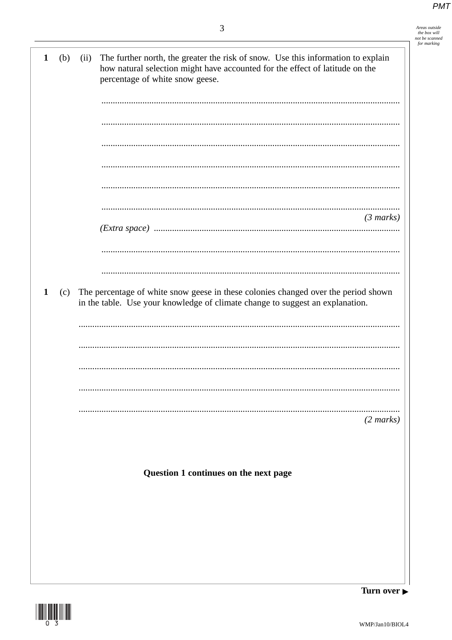Areas outside<br>the box will<br>not be scanned<br>for marking

 $\overline{\phantom{a}}$ 

| $\mathbf{1}$ | (b) | (ii) | The further north, the greater the risk of snow. Use this information to explain<br>how natural selection might have accounted for the effect of latitude on the<br>percentage of white snow geese. |
|--------------|-----|------|-----------------------------------------------------------------------------------------------------------------------------------------------------------------------------------------------------|
|              |     |      |                                                                                                                                                                                                     |
|              |     |      |                                                                                                                                                                                                     |
|              |     |      |                                                                                                                                                                                                     |
|              |     |      |                                                                                                                                                                                                     |
|              |     |      |                                                                                                                                                                                                     |
|              |     |      |                                                                                                                                                                                                     |
|              |     |      |                                                                                                                                                                                                     |
|              |     |      |                                                                                                                                                                                                     |
|              |     |      | $(3 \text{ marks})$                                                                                                                                                                                 |
|              |     |      |                                                                                                                                                                                                     |
|              |     |      |                                                                                                                                                                                                     |
|              |     |      |                                                                                                                                                                                                     |
|              |     |      |                                                                                                                                                                                                     |
| $\mathbf{1}$ | (c) |      | The percentage of white snow geese in these colonies changed over the period shown                                                                                                                  |
|              |     |      | in the table. Use your knowledge of climate change to suggest an explanation.                                                                                                                       |
|              |     |      |                                                                                                                                                                                                     |
|              |     |      |                                                                                                                                                                                                     |
|              |     |      |                                                                                                                                                                                                     |
|              |     |      |                                                                                                                                                                                                     |
|              |     |      |                                                                                                                                                                                                     |
|              |     |      |                                                                                                                                                                                                     |
|              |     |      |                                                                                                                                                                                                     |
|              |     |      | $(2 \text{ marks})$                                                                                                                                                                                 |
|              |     |      |                                                                                                                                                                                                     |
|              |     |      |                                                                                                                                                                                                     |
|              |     |      |                                                                                                                                                                                                     |
|              |     |      | Question 1 continues on the next page                                                                                                                                                               |
|              |     |      |                                                                                                                                                                                                     |
|              |     |      |                                                                                                                                                                                                     |
|              |     |      |                                                                                                                                                                                                     |
|              |     |      |                                                                                                                                                                                                     |
|              |     |      |                                                                                                                                                                                                     |
|              |     |      |                                                                                                                                                                                                     |
|              |     |      |                                                                                                                                                                                                     |
|              |     |      | Turn over $\blacktriangleright$                                                                                                                                                                     |

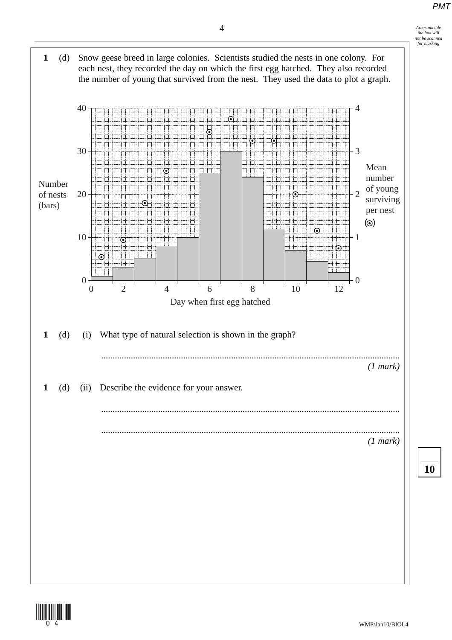





**10**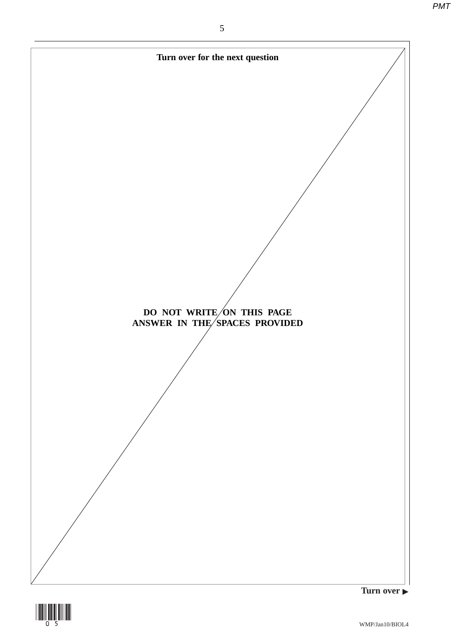

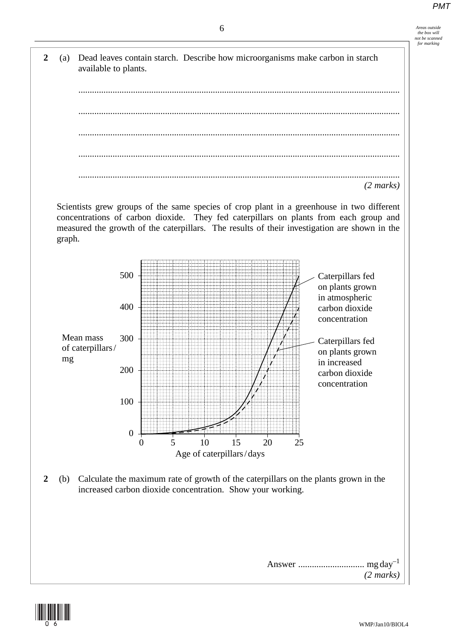6 *Areas outside the box will not be scanned for marking*



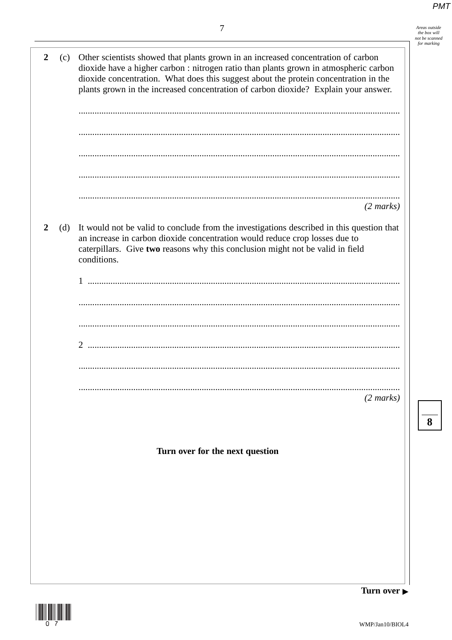Areas outside<br>the box will<br>not be scanned<br>for marking

 $\overline{\mathbf{8}}$ 

| $\boldsymbol{2}$ | (c) | Other scientists showed that plants grown in an increased concentration of carbon<br>dioxide have a higher carbon : nitrogen ratio than plants grown in atmospheric carbon<br>dioxide concentration. What does this suggest about the protein concentration in the<br>plants grown in the increased concentration of carbon dioxide? Explain your answer. |
|------------------|-----|-----------------------------------------------------------------------------------------------------------------------------------------------------------------------------------------------------------------------------------------------------------------------------------------------------------------------------------------------------------|
|                  |     |                                                                                                                                                                                                                                                                                                                                                           |
|                  |     |                                                                                                                                                                                                                                                                                                                                                           |
|                  |     |                                                                                                                                                                                                                                                                                                                                                           |
|                  |     |                                                                                                                                                                                                                                                                                                                                                           |
|                  |     | $(2 \text{ marks})$                                                                                                                                                                                                                                                                                                                                       |
| 2                | (d) | It would not be valid to conclude from the investigations described in this question that<br>an increase in carbon dioxide concentration would reduce crop losses due to<br>caterpillars. Give two reasons why this conclusion might not be valid in field<br>conditions.                                                                                 |
|                  |     |                                                                                                                                                                                                                                                                                                                                                           |
|                  |     |                                                                                                                                                                                                                                                                                                                                                           |
|                  |     |                                                                                                                                                                                                                                                                                                                                                           |
|                  |     |                                                                                                                                                                                                                                                                                                                                                           |
|                  |     |                                                                                                                                                                                                                                                                                                                                                           |
|                  |     |                                                                                                                                                                                                                                                                                                                                                           |
|                  |     |                                                                                                                                                                                                                                                                                                                                                           |
|                  |     |                                                                                                                                                                                                                                                                                                                                                           |
|                  |     | $(2 \text{ marks})$                                                                                                                                                                                                                                                                                                                                       |
|                  |     |                                                                                                                                                                                                                                                                                                                                                           |
|                  |     |                                                                                                                                                                                                                                                                                                                                                           |
|                  |     |                                                                                                                                                                                                                                                                                                                                                           |
|                  |     | Turn over for the next question                                                                                                                                                                                                                                                                                                                           |
|                  |     |                                                                                                                                                                                                                                                                                                                                                           |
|                  |     |                                                                                                                                                                                                                                                                                                                                                           |
|                  |     |                                                                                                                                                                                                                                                                                                                                                           |
|                  |     |                                                                                                                                                                                                                                                                                                                                                           |
|                  |     |                                                                                                                                                                                                                                                                                                                                                           |
|                  |     |                                                                                                                                                                                                                                                                                                                                                           |
|                  |     |                                                                                                                                                                                                                                                                                                                                                           |
|                  |     |                                                                                                                                                                                                                                                                                                                                                           |
|                  |     | Turn avoi                                                                                                                                                                                                                                                                                                                                                 |



 $\mathbf{r}$ 

Turn over  $\blacktriangleright$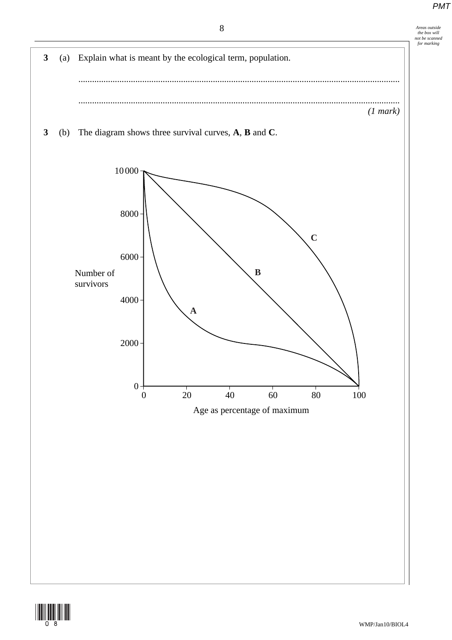

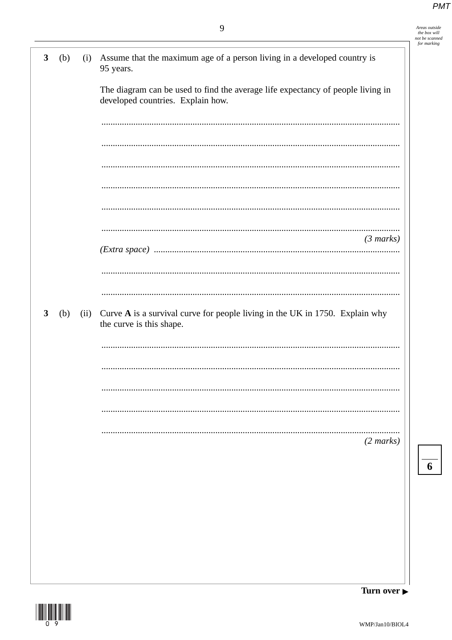| Areas outside  |
|----------------|
| the box will   |
| not be scanned |
| for marking    |

| $\mathbf{3}$ | (b) | (i)  | Assume that the maximum age of a person living in a developed country is<br>95 years.                                |
|--------------|-----|------|----------------------------------------------------------------------------------------------------------------------|
|              |     |      | The diagram can be used to find the average life expectancy of people living in<br>developed countries. Explain how. |
|              |     |      |                                                                                                                      |
|              |     |      |                                                                                                                      |
|              |     |      |                                                                                                                      |
|              |     |      |                                                                                                                      |
|              |     |      |                                                                                                                      |
|              |     |      | $(3 \text{ marks})$                                                                                                  |
|              |     |      |                                                                                                                      |
|              |     |      |                                                                                                                      |
| 3            | (b) | (ii) | Curve A is a survival curve for people living in the UK in 1750. Explain why<br>the curve is this shape.             |
|              |     |      |                                                                                                                      |
|              |     |      |                                                                                                                      |
|              |     |      |                                                                                                                      |
|              |     |      |                                                                                                                      |
|              |     |      | $(2 \text{ marks})$                                                                                                  |
|              |     |      |                                                                                                                      |
|              |     |      |                                                                                                                      |
|              |     |      |                                                                                                                      |
|              |     |      |                                                                                                                      |
|              |     |      |                                                                                                                      |
|              |     |      |                                                                                                                      |

Turn over

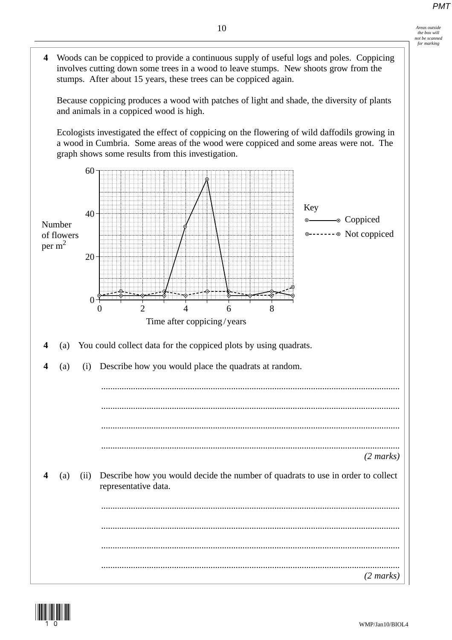

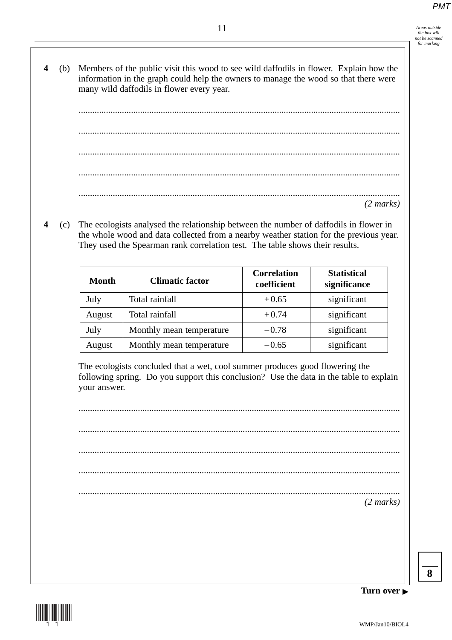- 11 *Areas outside the box will not be scanned for marking*
- **4** (b) Members of the public visit this wood to see wild daffodils in flower. Explain how the information in the graph could help the owners to manage the wood so that there were many wild daffodils in flower every year.

............................................................................................................................................. ............................................................................................................................................. ............................................................................................................................................. ............................................................................................................................................. ............................................................................................................................................. *(2 marks)*

**4** (c) The ecologists analysed the relationship between the number of daffodils in flower in the whole wood and data collected from a nearby weather station for the previous year. They used the Spearman rank correlation test. The table shows their results.

| Month  | <b>Climatic factor</b>   | <b>Correlation</b><br>coefficient | <b>Statistical</b><br>significance |
|--------|--------------------------|-----------------------------------|------------------------------------|
| July   | Total rainfall           | $+0.65$                           | significant                        |
| August | Total rainfall           | $+0.74$                           | significant                        |
| July   | Monthly mean temperature | $-0.78$                           | significant                        |
| August | Monthly mean temperature | $-0.65$                           | significant                        |

The ecologists concluded that a wet, cool summer produces good flowering the following spring. Do you support this conclusion? Use the data in the table to explain your answer.

............................................................................................................................................. ............................................................................................................................................. ............................................................................................................................................. ............................................................................................................................................. ............................................................................................................................................. *(2 marks)*



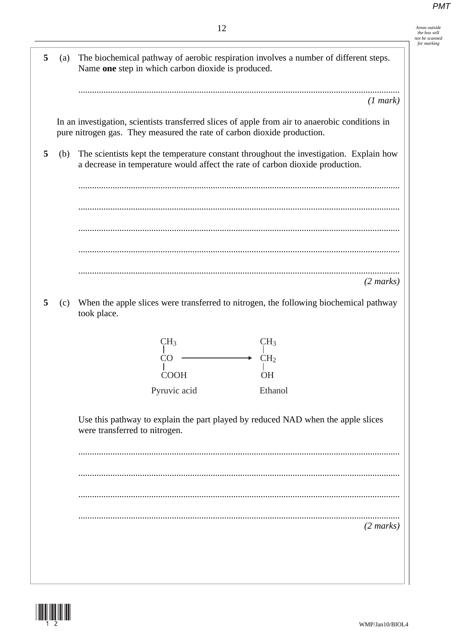|          | 12                                                                                                                                                                         |
|----------|----------------------------------------------------------------------------------------------------------------------------------------------------------------------------|
| 5<br>(a) | The biochemical pathway of aerobic respiration involves a number of different steps.<br>Name one step in which carbon dioxide is produced.                                 |
|          | (1 mark)                                                                                                                                                                   |
|          | In an investigation, scientists transferred slices of apple from air to anaerobic conditions in<br>pure nitrogen gas. They measured the rate of carbon dioxide production. |
| 5<br>(b) | The scientists kept the temperature constant throughout the investigation. Explain how<br>a decrease in temperature would affect the rate of carbon dioxide production.    |
|          |                                                                                                                                                                            |
|          |                                                                                                                                                                            |
|          |                                                                                                                                                                            |
|          | $(2 \text{ marks})$                                                                                                                                                        |
| 5<br>(c) | When the apple slices were transferred to nitrogen, the following biochemical pathway<br>took place.                                                                       |
|          | CH <sub>3</sub><br>CH <sub>3</sub>                                                                                                                                         |
|          | CH <sub>2</sub><br>CO                                                                                                                                                      |
|          | <b>OH</b><br><b>COOH</b><br>Pyruvic acid<br>Ethanol                                                                                                                        |
|          | Use this pathway to explain the part played by reduced NAD when the apple slices<br>were transferred to nitrogen.                                                          |
|          |                                                                                                                                                                            |
|          |                                                                                                                                                                            |
|          |                                                                                                                                                                            |
|          | $(2 \text{ marks})$                                                                                                                                                        |
|          |                                                                                                                                                                            |
|          |                                                                                                                                                                            |

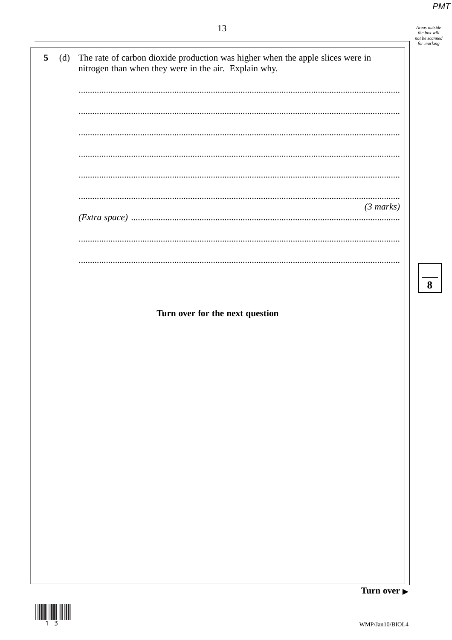Areas outside<br>the box will

not be scanned for marking

8

5 The rate of carbon dioxide production was higher when the apple slices were in  $(d)$ nitrogen than when they were in the air. Explain why. .................................  $(3 marks)$ . . . . . . . . . . . . . . .

Turn over for the next question



Turn over ►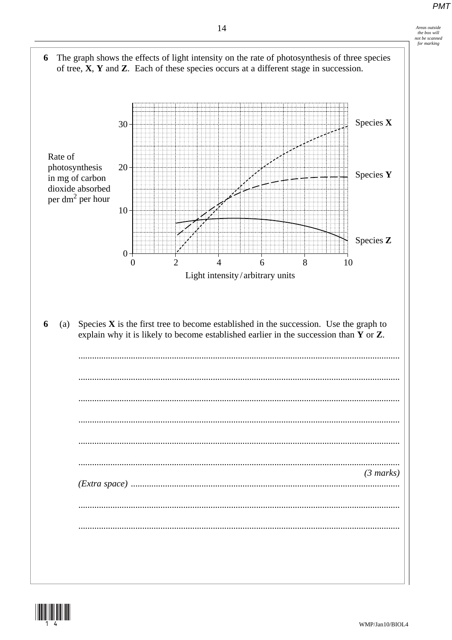

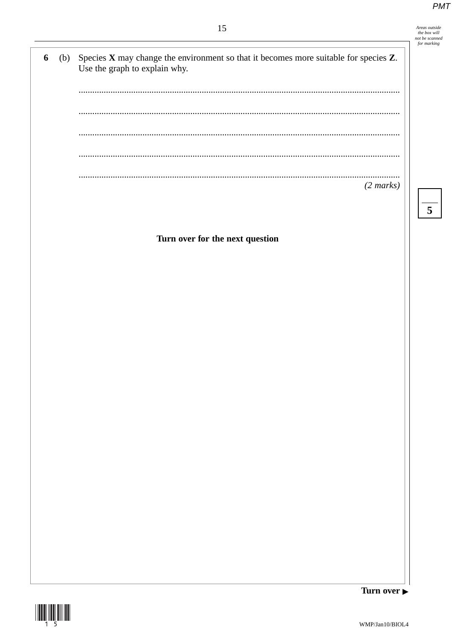Areas outside<br>the box will<br>not be scanned<br>for marking

 $\overline{\overline{\overline{5}}}$ 

# 15

| 6 | (b) Species $X$ may change the environment so that it becomes more suitable for species $Z$ .<br>Use the graph to explain why. |
|---|--------------------------------------------------------------------------------------------------------------------------------|
|   |                                                                                                                                |
|   |                                                                                                                                |
|   |                                                                                                                                |
|   | (2 marks)                                                                                                                      |

Turn over for the next question



Turn over  $\blacktriangleright$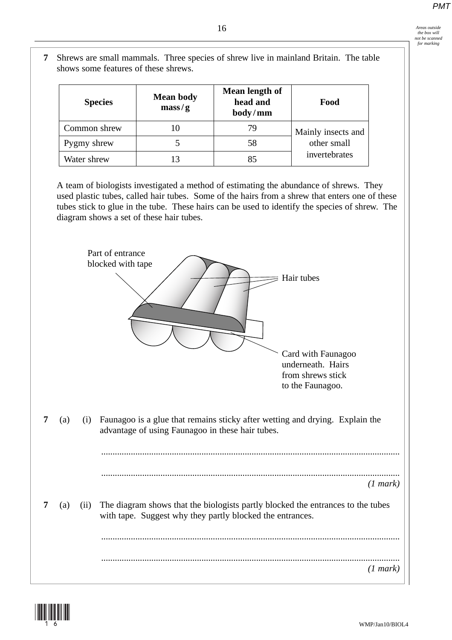- $16$  *Areas outside*<br>the hor will *the box will not be scanned for marking*
- **7** Shrews are small mammals. Three species of shrew live in mainland Britain. The table shows some features of these shrews.

| <b>Species</b> | <b>Mean body</b><br>$\text{mass}/\text{g}$ | Mean length of<br>head and<br>body/mm | Food               |  |
|----------------|--------------------------------------------|---------------------------------------|--------------------|--|
| Common shrew   | 10                                         | 79                                    | Mainly insects and |  |
| Pygmy shrew    |                                            | 58                                    | other small        |  |
| Water shrew    |                                            | 85                                    | invertebrates      |  |

A team of biologists investigated a method of estimating the abundance of shrews. They used plastic tubes, called hair tubes. Some of the hairs from a shrew that enters one of these tubes stick to glue in the tube. These hairs can be used to identify the species of shrew. The diagram shows a set of these hair tubes.



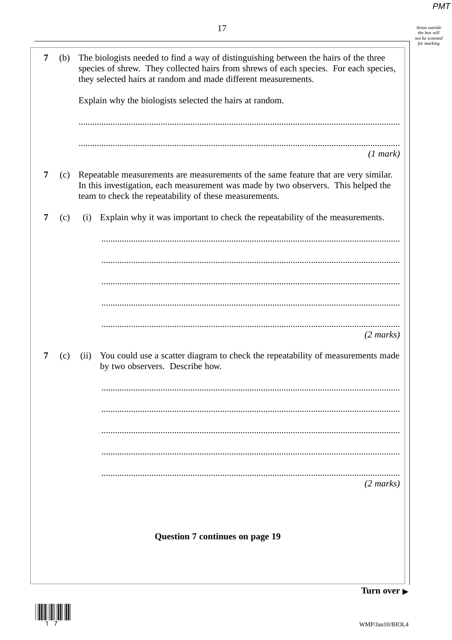| 1 <sub>7</sub><br>1 | Areas outside  |
|---------------------|----------------|
|                     | the box will   |
|                     | not be scanned |
|                     | for marking    |
|                     |                |

| 7 | (b) |      | The biologists needed to find a way of distinguishing between the hairs of the three<br>species of shrew. They collected hairs from shrews of each species. For each species,<br>they selected hairs at random and made different measurements. |  |  |  |  |  |
|---|-----|------|-------------------------------------------------------------------------------------------------------------------------------------------------------------------------------------------------------------------------------------------------|--|--|--|--|--|
|   |     |      | Explain why the biologists selected the hairs at random.                                                                                                                                                                                        |  |  |  |  |  |
|   |     |      |                                                                                                                                                                                                                                                 |  |  |  |  |  |
|   |     |      | (1 mark)                                                                                                                                                                                                                                        |  |  |  |  |  |
| 7 | (c) |      | Repeatable measurements are measurements of the same feature that are very similar.<br>In this investigation, each measurement was made by two observers. This helped the<br>team to check the repeatability of these measurements.             |  |  |  |  |  |
| 7 | (c) | (i)  | Explain why it was important to check the repeatability of the measurements.                                                                                                                                                                    |  |  |  |  |  |
|   |     |      |                                                                                                                                                                                                                                                 |  |  |  |  |  |
|   |     |      |                                                                                                                                                                                                                                                 |  |  |  |  |  |
|   |     |      |                                                                                                                                                                                                                                                 |  |  |  |  |  |
|   |     |      |                                                                                                                                                                                                                                                 |  |  |  |  |  |
|   |     |      | $(2 \text{ marks})$                                                                                                                                                                                                                             |  |  |  |  |  |
| 7 | (c) | (ii) | You could use a scatter diagram to check the repeatability of measurements made<br>by two observers. Describe how.                                                                                                                              |  |  |  |  |  |
|   |     |      |                                                                                                                                                                                                                                                 |  |  |  |  |  |
|   |     |      |                                                                                                                                                                                                                                                 |  |  |  |  |  |
|   |     |      |                                                                                                                                                                                                                                                 |  |  |  |  |  |
|   |     |      |                                                                                                                                                                                                                                                 |  |  |  |  |  |
|   |     |      | $(2 \text{ marks})$                                                                                                                                                                                                                             |  |  |  |  |  |
|   |     |      |                                                                                                                                                                                                                                                 |  |  |  |  |  |
|   |     |      | <b>Question 7 continues on page 19</b>                                                                                                                                                                                                          |  |  |  |  |  |
|   |     |      |                                                                                                                                                                                                                                                 |  |  |  |  |  |
|   |     |      |                                                                                                                                                                                                                                                 |  |  |  |  |  |

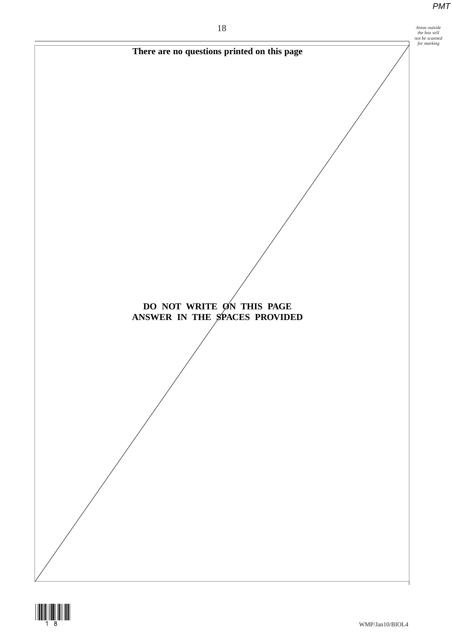



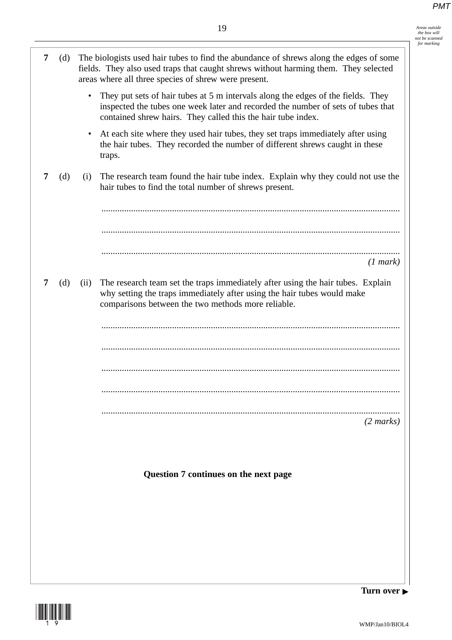*the box will not be scanned for marking*

**7** (d) The biologists used hair tubes to find the abundance of shrews along the edges of some fields. They also used traps that caught shrews without harming them. They selected areas where all three species of shrew were present. They put sets of hair tubes at 5 m intervals along the edges of the fields. They inspected the tubes one week later and recorded the number of sets of tubes that contained shrew hairs. They called this the hair tube index. • At each site where they used hair tubes, they set traps immediately after using the hair tubes. They recorded the number of different shrews caught in these traps. **7** (d) (i) The research team found the hair tube index. Explain why they could not use the hair tubes to find the total number of shrews present. ................................................................................................................................... ................................................................................................................................... ................................................................................................................................... *(1 mark)* **7** (d) (ii) The research team set the traps immediately after using the hair tubes. Explain why setting the traps immediately after using the hair tubes would make comparisons between the two methods more reliable. ................................................................................................................................... ................................................................................................................................... ................................................................................................................................... ................................................................................................................................... ................................................................................................................................... *(2 marks)* **Question 7 continues on the next page**

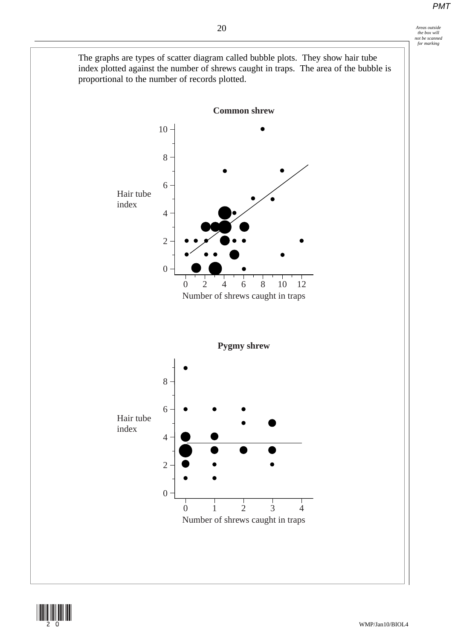

20 *Areas outside the box will not be scanned for marking*



(20)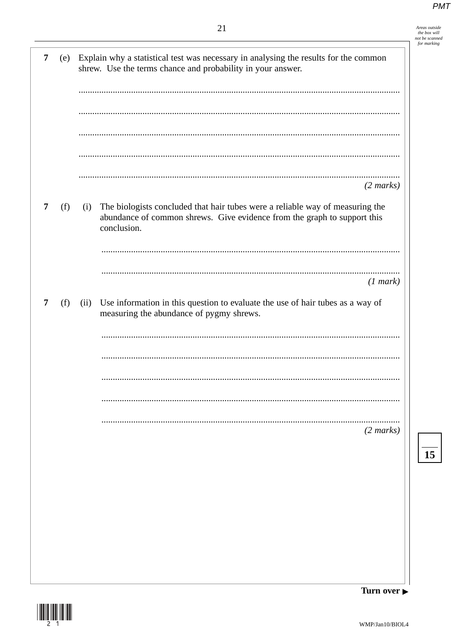|   |     |      | 21                                                                                                                                                                       | Areas outside<br>the box will<br>not be scanned |
|---|-----|------|--------------------------------------------------------------------------------------------------------------------------------------------------------------------------|-------------------------------------------------|
| 7 | (e) |      | Explain why a statistical test was necessary in analysing the results for the common<br>shrew. Use the terms chance and probability in your answer.                      | for marking                                     |
|   |     |      |                                                                                                                                                                          |                                                 |
|   |     |      |                                                                                                                                                                          |                                                 |
|   |     |      | $(2 \text{ marks})$                                                                                                                                                      |                                                 |
| 7 | (f) | (i)  | The biologists concluded that hair tubes were a reliable way of measuring the<br>abundance of common shrews. Give evidence from the graph to support this<br>conclusion. |                                                 |
|   |     |      | (1 mark)                                                                                                                                                                 |                                                 |
| 7 | (f) | (ii) | Use information in this question to evaluate the use of hair tubes as a way of<br>measuring the abundance of pygmy shrews.                                               |                                                 |
|   |     |      |                                                                                                                                                                          |                                                 |
|   |     |      |                                                                                                                                                                          |                                                 |
|   |     |      | $(2 \text{ marks})$                                                                                                                                                      |                                                 |
|   |     |      |                                                                                                                                                                          | 15                                              |
|   |     |      |                                                                                                                                                                          |                                                 |
|   |     |      |                                                                                                                                                                          |                                                 |

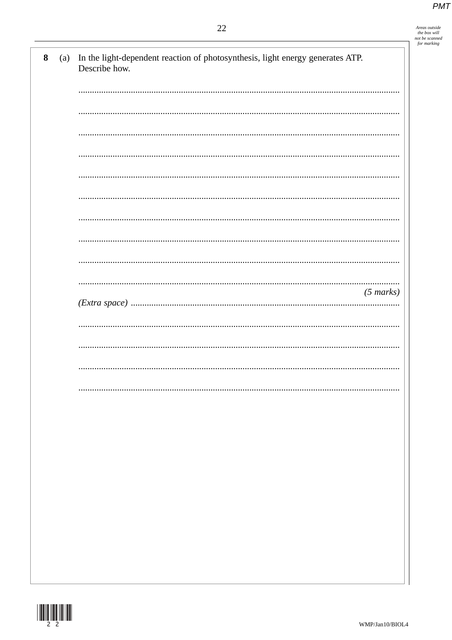| Areas outside  |
|----------------|
| the box will   |
| not be scanned |
| for marking    |

| $\bf{8}$<br>(a) | In the light-dependent reaction of photosynthesis, light energy generates ATP.<br>Describe how. |
|-----------------|-------------------------------------------------------------------------------------------------|
|                 |                                                                                                 |
|                 |                                                                                                 |
|                 |                                                                                                 |
|                 |                                                                                                 |
|                 |                                                                                                 |
|                 |                                                                                                 |
|                 |                                                                                                 |
|                 |                                                                                                 |
|                 | $(5 \text{ marks})$                                                                             |
|                 |                                                                                                 |
|                 |                                                                                                 |
|                 |                                                                                                 |
|                 |                                                                                                 |
|                 |                                                                                                 |
|                 |                                                                                                 |
|                 |                                                                                                 |
|                 |                                                                                                 |
|                 |                                                                                                 |
|                 |                                                                                                 |

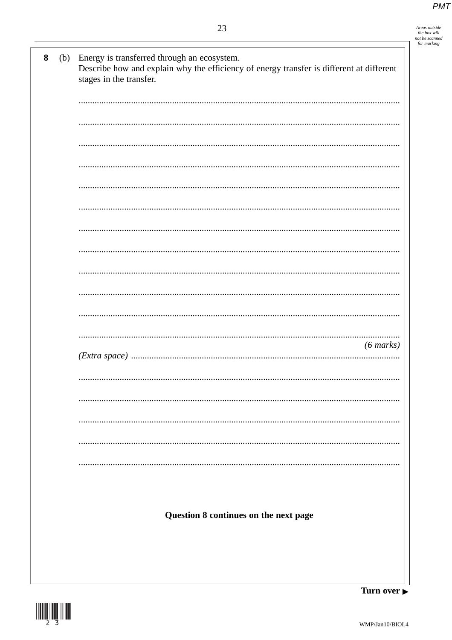| Areas outside  |
|----------------|
| the box will   |
| not be scanned |
| for marking    |
|                |
|                |

| $\boldsymbol{8}$ | (b) | Energy is transferred through an ecosystem.<br>Describe how and explain why the efficiency of energy transfer is different at different<br>stages in the transfer. |
|------------------|-----|--------------------------------------------------------------------------------------------------------------------------------------------------------------------|
|                  |     |                                                                                                                                                                    |
|                  |     |                                                                                                                                                                    |
|                  |     |                                                                                                                                                                    |
|                  |     |                                                                                                                                                                    |
|                  |     |                                                                                                                                                                    |
|                  |     |                                                                                                                                                                    |
|                  |     |                                                                                                                                                                    |
|                  |     |                                                                                                                                                                    |
|                  |     |                                                                                                                                                                    |
|                  |     |                                                                                                                                                                    |
|                  |     |                                                                                                                                                                    |
|                  |     | $(6 \text{ marks})$                                                                                                                                                |
|                  |     |                                                                                                                                                                    |
|                  |     |                                                                                                                                                                    |
|                  |     |                                                                                                                                                                    |
|                  |     |                                                                                                                                                                    |
|                  |     |                                                                                                                                                                    |
|                  |     |                                                                                                                                                                    |
|                  |     |                                                                                                                                                                    |
|                  |     | Question 8 continues on the next page                                                                                                                              |
|                  |     |                                                                                                                                                                    |
|                  |     | m                                                                                                                                                                  |



Turn over  $\blacktriangleright$